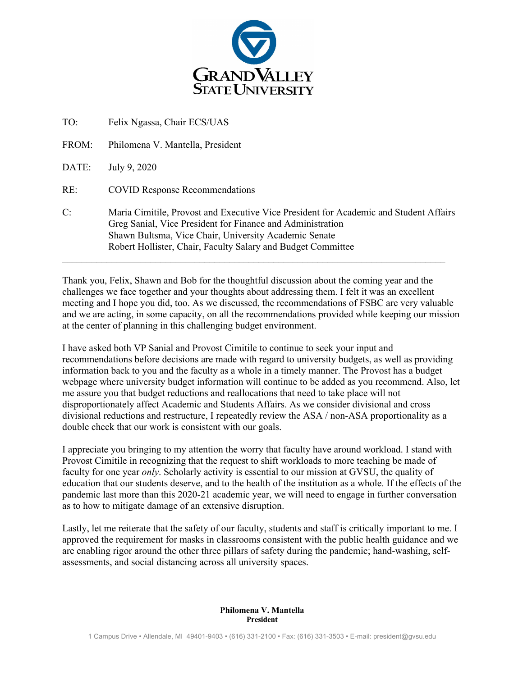

| TO:   | Felix Ngassa, Chair ECS/UAS                                                                                                                                                                                                                                                  |
|-------|------------------------------------------------------------------------------------------------------------------------------------------------------------------------------------------------------------------------------------------------------------------------------|
| FROM: | Philomena V. Mantella, President                                                                                                                                                                                                                                             |
| DATE: | July 9, 2020                                                                                                                                                                                                                                                                 |
| RE:   | <b>COVID Response Recommendations</b>                                                                                                                                                                                                                                        |
| C:    | Maria Cimitile, Provost and Executive Vice President for Academic and Student Affairs<br>Greg Sanial, Vice President for Finance and Administration<br>Shawn Bultsma, Vice Chair, University Academic Senate<br>Robert Hollister, Chair, Faculty Salary and Budget Committee |

Thank you, Felix, Shawn and Bob for the thoughtful discussion about the coming year and the challenges we face together and your thoughts about addressing them. I felt it was an excellent meeting and I hope you did, too. As we discussed, the recommendations of FSBC are very valuable and we are acting, in some capacity, on all the recommendations provided while keeping our mission at the center of planning in this challenging budget environment.

I have asked both VP Sanial and Provost Cimitile to continue to seek your input and recommendations before decisions are made with regard to university budgets, as well as providing information back to you and the faculty as a whole in a timely manner. The Provost has a budget webpage where university budget information will continue to be added as you recommend. Also, let me assure you that budget reductions and reallocations that need to take place will not disproportionately affect Academic and Students Affairs. As we consider divisional and cross divisional reductions and restructure, I repeatedly review the ASA / non-ASA proportionality as a double check that our work is consistent with our goals.

I appreciate you bringing to my attention the worry that faculty have around workload. I stand with Provost Cimitile in recognizing that the request to shift workloads to more teaching be made of faculty for one year *only*. Scholarly activity is essential to our mission at GVSU, the quality of education that our students deserve, and to the health of the institution as a whole. If the effects of the pandemic last more than this 2020-21 academic year, we will need to engage in further conversation as to how to mitigate damage of an extensive disruption.

Lastly, let me reiterate that the safety of our faculty, students and staff is critically important to me. I approved the requirement for masks in classrooms consistent with the public health guidance and we are enabling rigor around the other three pillars of safety during the pandemic; hand-washing, selfassessments, and social distancing across all university spaces.